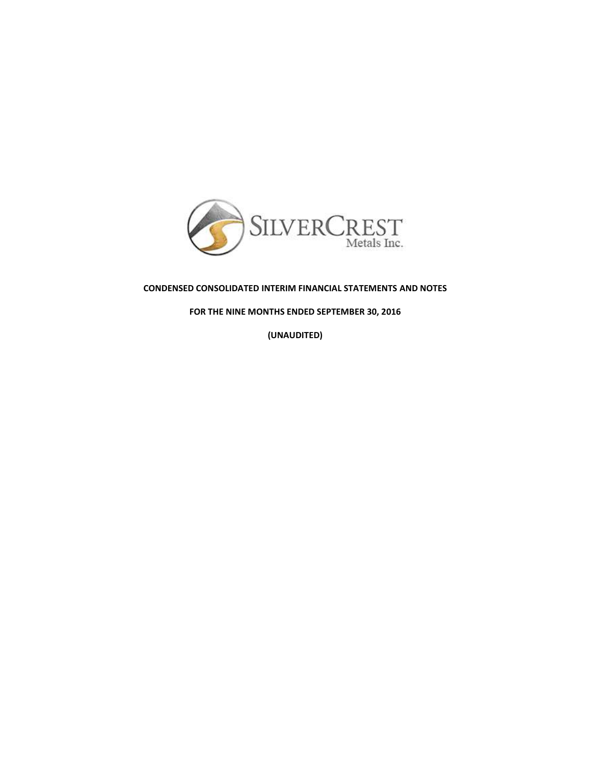

# **CONDENSED CONSOLIDATED INTERIM FINANCIAL STATEMENTS AND NOTES**

**FOR THE NINE MONTHS ENDED SEPTEMBER 30, 2016**

**(UNAUDITED)**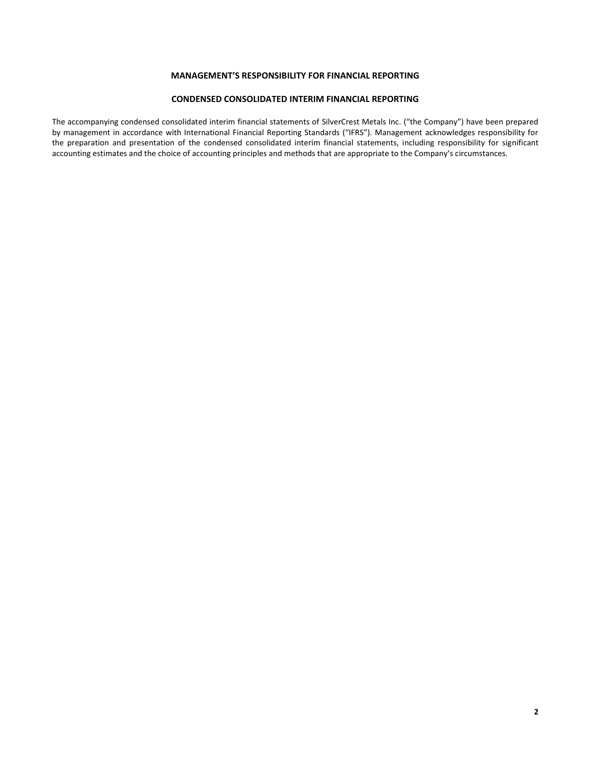# **MANAGEMENT'S RESPONSIBILITY FOR FINANCIAL REPORTING**

### **CONDENSED CONSOLIDATED INTERIM FINANCIAL REPORTING**

The accompanying condensed consolidated interim financial statements of SilverCrest Metals Inc. ("the Company") have been prepared by management in accordance with International Financial Reporting Standards ("IFRS"). Management acknowledges responsibility for the preparation and presentation of the condensed consolidated interim financial statements, including responsibility for significant accounting estimates and the choice of accounting principles and methods that are appropriate to the Company's circumstances.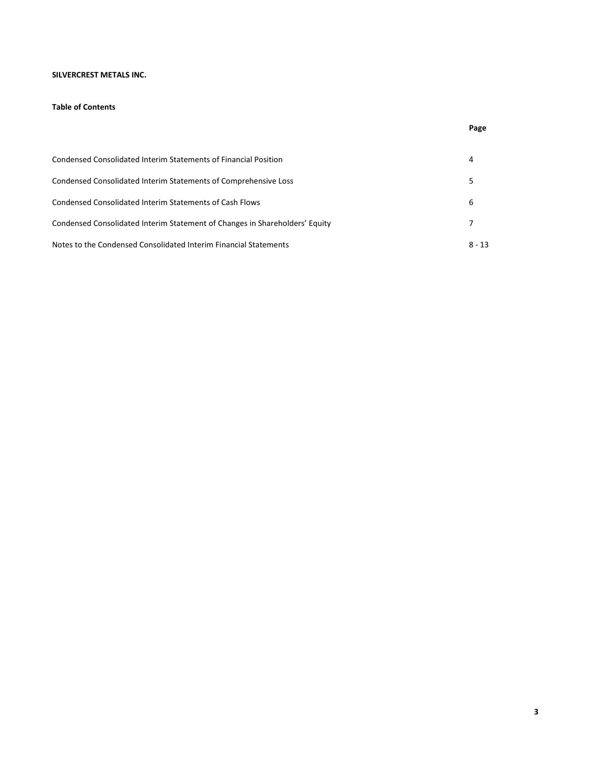# **SILVERCREST METALS INC.**

# **Table of Contents**

| Condensed Consolidated Interim Statements of Financial Position             |          |
|-----------------------------------------------------------------------------|----------|
| Condensed Consolidated Interim Statements of Comprehensive Loss             |          |
| Condensed Consolidated Interim Statements of Cash Flows                     | 6        |
| Condensed Consolidated Interim Statement of Changes in Shareholders' Equity |          |
| Notes to the Condensed Consolidated Interim Financial Statements            | $8 - 13$ |

**Page**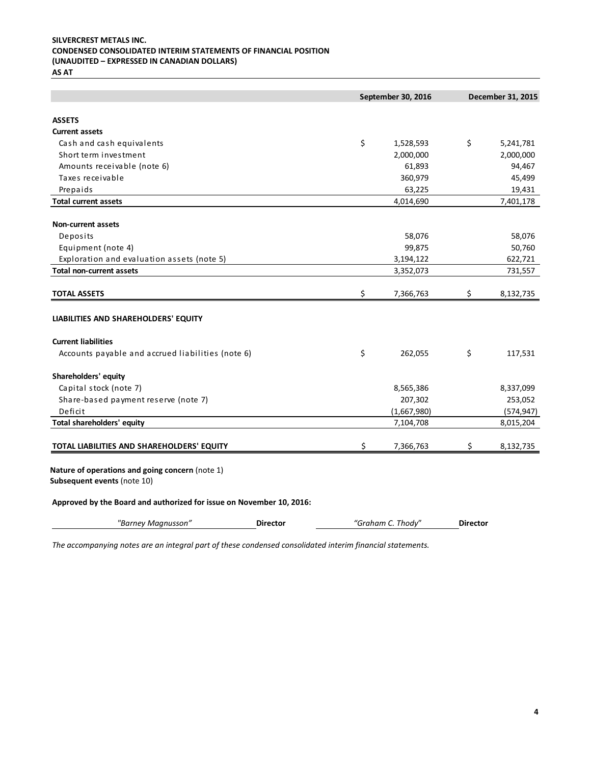# **SILVERCREST METALS INC. CONDENSED CONSOLIDATED INTERIM STATEMENTS OF FINANCIAL POSITION (UNAUDITED – EXPRESSED IN CANADIAN DOLLARS)**

**AS AT**

|                                                                                | September 30, 2016 | December 31, 2015 |
|--------------------------------------------------------------------------------|--------------------|-------------------|
| <b>ASSETS</b>                                                                  |                    |                   |
| <b>Current assets</b>                                                          |                    |                   |
| Cash and cash equivalents                                                      | \$<br>1,528,593    | \$<br>5,241,781   |
| Short term investment                                                          | 2,000,000          | 2,000,000         |
| Amounts receivable (note 6)                                                    | 61,893             | 94,467            |
| Taxes receivable                                                               | 360,979            | 45,499            |
| Prepaids                                                                       | 63,225             | 19,431            |
| <b>Total current assets</b>                                                    | 4,014,690          | 7,401,178         |
| <b>Non-current assets</b>                                                      |                    |                   |
| Deposits                                                                       | 58,076             | 58,076            |
| Equipment (note 4)                                                             | 99,875             | 50,760            |
| Exploration and evaluation assets (note 5)                                     | 3,194,122          | 622,721           |
| <b>Total non-current assets</b>                                                | 3,352,073          | 731,557           |
| <b>TOTAL ASSETS</b>                                                            | \$<br>7,366,763    | \$<br>8,132,735   |
| LIABILITIES AND SHAREHOLDERS' EQUITY                                           |                    |                   |
| <b>Current liabilities</b>                                                     |                    |                   |
| Accounts payable and accrued liabilities (note 6)                              | \$<br>262,055      | \$<br>117,531     |
| Shareholders' equity                                                           |                    |                   |
| Capital stock (note 7)                                                         | 8,565,386          | 8,337,099         |
| Share-based payment reserve (note 7)                                           | 207,302            | 253,052           |
| Deficit                                                                        | (1,667,980)        | (574, 947)        |
| Total shareholders' equity                                                     | 7,104,708          | 8,015,204         |
| TOTAL LIABILITIES AND SHAREHOLDERS' EQUITY                                     | \$<br>7,366,763    | \$<br>8,132,735   |
| Nature of operations and going concern (note 1)<br>Subsequent events (note 10) |                    |                   |
| Approved by the Board and authorized for issue on November 10, 2016:           |                    |                   |

*"Barney Magnusson"* **Director** *"Graham C. Thody*" **Director**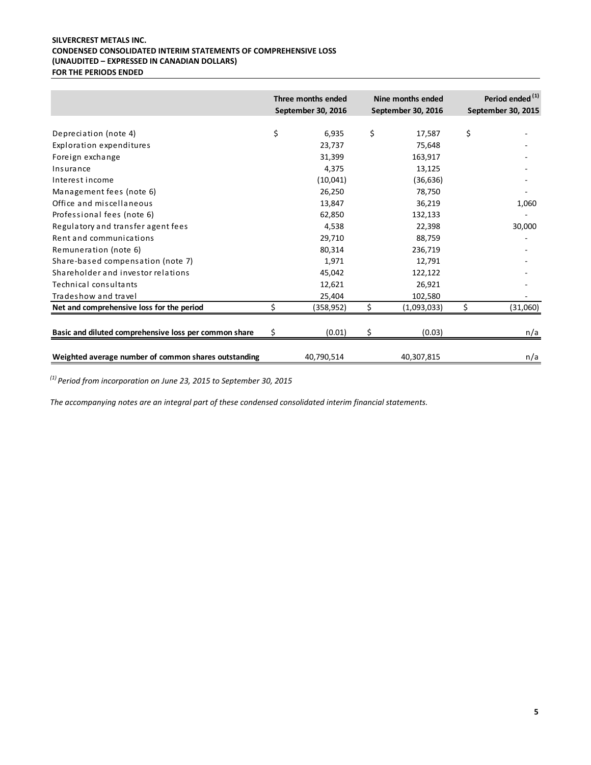# **SILVERCREST METALS INC. CONDENSED CONSOLIDATED INTERIM STATEMENTS OF COMPREHENSIVE LOSS (UNAUDITED – EXPRESSED IN CANADIAN DOLLARS) FOR THE PERIODS ENDED**

|                                                       | Three months ended<br>September 30, 2016 | Nine months ended<br>September 30, 2016 | Period ended <sup>(1)</sup><br>September 30, 2015 |
|-------------------------------------------------------|------------------------------------------|-----------------------------------------|---------------------------------------------------|
| Depreciation (note 4)                                 | \$<br>6,935                              | \$<br>17,587                            | \$                                                |
| Exploration expenditures                              | 23,737                                   | 75,648                                  |                                                   |
| Foreign exchange                                      | 31,399                                   | 163,917                                 |                                                   |
| Insurance                                             | 4,375                                    | 13,125                                  |                                                   |
| Interest income                                       | (10,041)                                 | (36, 636)                               |                                                   |
| Management fees (note 6)                              | 26,250                                   | 78,750                                  |                                                   |
| Office and miscellaneous                              | 13,847                                   | 36,219                                  | 1,060                                             |
| Professional fees (note 6)                            | 62,850                                   | 132,133                                 |                                                   |
| Regulatory and transfer agent fees                    | 4,538                                    | 22,398                                  | 30,000                                            |
| Rent and communications                               | 29,710                                   | 88,759                                  |                                                   |
| Remuneration (note 6)                                 | 80,314                                   | 236,719                                 |                                                   |
| Share-based compensation (note 7)                     | 1,971                                    | 12,791                                  |                                                   |
| Shareholder and investor relations                    | 45,042                                   | 122,122                                 |                                                   |
| Technical consultants                                 | 12,621                                   | 26,921                                  |                                                   |
| Tradeshow and travel                                  | 25,404                                   | 102,580                                 |                                                   |
| Net and comprehensive loss for the period             | (358,952)                                | \$<br>(1,093,033)                       | \$<br>(31,060)                                    |
| Basic and diluted comprehensive loss per common share | \$<br>(0.01)                             | \$<br>(0.03)                            | n/a                                               |
| Weighted average number of common shares outstanding  | 40,790,514                               | 40,307,815                              | n/a                                               |

*(1) Period from incorporation on June 23, 2015 to September 30, 2015*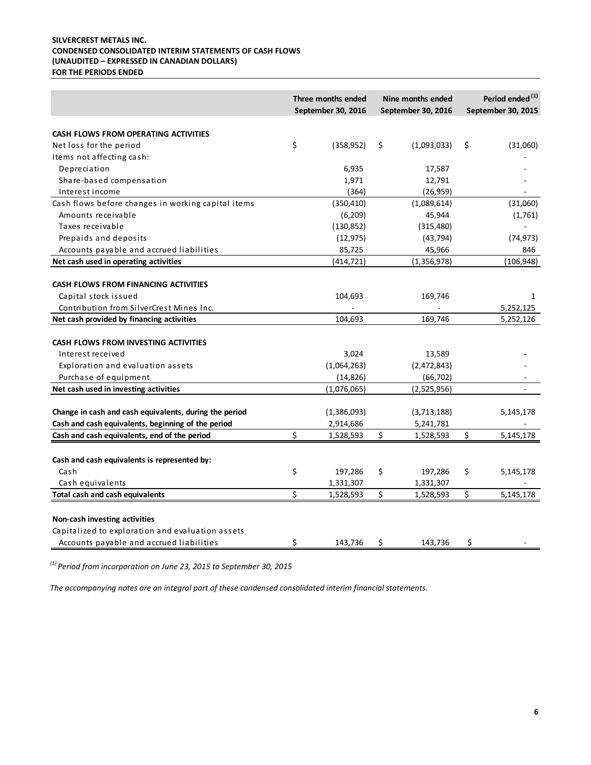# **SILVERCREST METALS INC. CONDENSED CONSOLIDATED INTERIM STATEMENTS OF CASH FLOWS (UNAUDITED – EXPRESSED IN CANADIAN DOLLARS) FOR THE PERIODS ENDED**

|                                                                                                                                                              | Three months ended<br>Nine months ended<br>September 30, 2016<br>September 30, 2016 |    | Period ended <sup>(1)</sup><br>September 30, 2015 |                              |
|--------------------------------------------------------------------------------------------------------------------------------------------------------------|-------------------------------------------------------------------------------------|----|---------------------------------------------------|------------------------------|
| CASH FLOWS FROM OPERATING ACTIVITIES                                                                                                                         |                                                                                     |    |                                                   |                              |
| Net loss for the period                                                                                                                                      | \$<br>(358, 952)                                                                    | \$ | (1,093,033)                                       | \$<br>(31,060)               |
| Items not affecting cash:                                                                                                                                    |                                                                                     |    |                                                   |                              |
| Depreciation                                                                                                                                                 | 6,935                                                                               |    | 17,587                                            |                              |
| Share-based compensation                                                                                                                                     | 1,971                                                                               |    | 12,791                                            |                              |
| Interest income                                                                                                                                              | (364)                                                                               |    | (26, 959)                                         |                              |
| Cash flows before changes in working capital items                                                                                                           | (350, 410)                                                                          |    | (1,089,614)                                       | (31,060)                     |
| Amounts receivable                                                                                                                                           | (6, 209)                                                                            |    | 45,944                                            | (1,761)                      |
| Taxes receivable                                                                                                                                             | (130, 852)                                                                          |    | (315, 480)                                        |                              |
| Prepaids and deposits                                                                                                                                        | (12, 975)                                                                           |    | (43, 794)                                         | (74, 973)                    |
| Accounts payable and accrued liabilities                                                                                                                     | 85,725                                                                              |    | 45,966                                            | 846                          |
| Net cash used in operating activities                                                                                                                        | (414, 721)                                                                          |    | (1, 356, 978)                                     | (106, 948)                   |
| <b>CASH FLOWS FROM FINANCING ACTIVITIES</b><br>Capital stock issued                                                                                          | 104,693                                                                             |    | 169,746                                           | 1                            |
| Contribution from SilverCrest Mines Inc.                                                                                                                     |                                                                                     |    |                                                   | 5,252,125                    |
| Net cash provided by financing activities                                                                                                                    | 104,693                                                                             |    | 169,746                                           | 5,252,126                    |
| CASH FLOWS FROM INVESTING ACTIVITIES<br>Interest received<br>Exploration and evaluation assets<br>Purchase of equipment                                      | 3,024<br>(1,064,263)<br>(14, 826)                                                   |    | 13,589<br>(2,472,843)<br>(66, 702)                |                              |
| Net cash used in investing activities                                                                                                                        | (1,076,065)                                                                         |    | (2,525,956)                                       | $\sim$                       |
| Change in cash and cash equivalents, during the period<br>Cash and cash equivalents, beginning of the period<br>Cash and cash equivalents, end of the period | \$<br>(1,386,093)<br>2,914,686<br>1,528,593                                         | \$ | (3,713,188)<br>5,241,781<br>1,528,593             | \$<br>5,145,178<br>5,145,178 |
|                                                                                                                                                              |                                                                                     |    |                                                   |                              |
| Cash and cash equivalents is represented by:                                                                                                                 |                                                                                     |    |                                                   |                              |
| Cash                                                                                                                                                         | \$<br>197,286                                                                       | \$ | 197,286                                           | \$<br>5,145,178              |
| Cash equivalents                                                                                                                                             | 1,331,307                                                                           |    | 1,331,307                                         |                              |
| <b>Total cash and cash equivalents</b>                                                                                                                       | \$<br>1,528,593                                                                     | \$ | 1,528,593                                         | \$<br>5,145,178              |
| Non-cash investing activities<br>Capitalized to exploration and evaluation assets<br>Accounts payable and accrued liabilities                                | \$<br>143,736                                                                       | \$ | 143,736                                           | \$                           |

*(1) Period from incorporation on June 23, 2015 to September 30, 2015*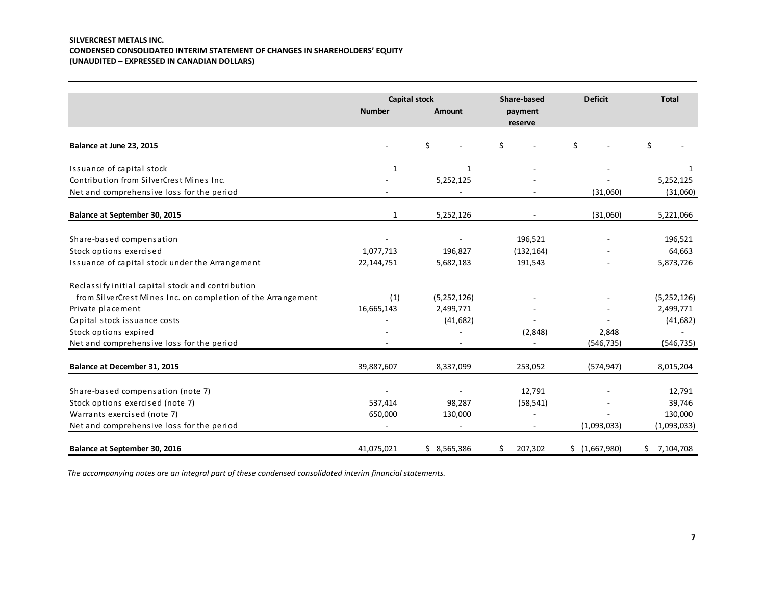# **SILVERCREST METALS INC. CONDENSED CONSOLIDATED INTERIM STATEMENT OF CHANGES IN SHAREHOLDERS' EQUITY (UNAUDITED – EXPRESSED IN CANADIAN DOLLARS)**

|                                                              | <b>Capital stock</b> |             | <b>Share-based</b> | <b>Deficit</b> | <b>Total</b> |
|--------------------------------------------------------------|----------------------|-------------|--------------------|----------------|--------------|
|                                                              | <b>Number</b>        | Amount      | payment<br>reserve |                |              |
| Balance at June 23, 2015                                     |                      | \$          | \$                 | \$             | \$           |
| Issuance of capital stock                                    | 1                    | 1           |                    |                | 1            |
| Contribution from SilverCrest Mines Inc.                     |                      | 5,252,125   |                    |                | 5,252,125    |
| Net and comprehensive loss for the period                    |                      |             |                    | (31,060)       | (31,060)     |
| Balance at September 30, 2015                                | 1                    | 5,252,126   |                    | (31,060)       | 5,221,066    |
| Share-based compensation                                     |                      |             | 196,521            |                | 196,521      |
| Stock options exercised                                      | 1,077,713            | 196,827     | (132, 164)         |                | 64,663       |
| Issuance of capital stock under the Arrangement              | 22,144,751           | 5,682,183   | 191,543            |                | 5,873,726    |
| Reclassify initial capital stock and contribution            |                      |             |                    |                |              |
| from SilverCrest Mines Inc. on completion of the Arrangement | (1)                  | (5,252,126) |                    |                | (5,252,126)  |
| Private placement                                            | 16,665,143           | 2,499,771   |                    |                | 2,499,771    |
| Capital stock issuance costs                                 |                      | (41, 682)   |                    |                | (41, 682)    |
| Stock options expired                                        |                      |             | (2,848)            | 2,848          |              |
| Net and comprehensive loss for the period                    |                      |             |                    | (546, 735)     | (546, 735)   |
| <b>Balance at December 31, 2015</b>                          | 39,887,607           | 8,337,099   | 253,052            | (574, 947)     | 8,015,204    |
|                                                              |                      |             |                    |                |              |
| Share-based compensation (note 7)                            |                      |             | 12,791             |                | 12,791       |
| Stock options exercised (note 7)                             | 537,414              | 98,287      | (58, 541)          |                | 39,746       |
| Warrants exercised (note 7)                                  | 650,000              | 130,000     |                    |                | 130,000      |
| Net and comprehensive loss for the period                    |                      |             |                    | (1,093,033)    | (1,093,033)  |
| Balance at September 30, 2016                                | 41,075,021           | \$3,565,386 | 207,302<br>\$      | \$ (1,667,980) | \$7,104,708  |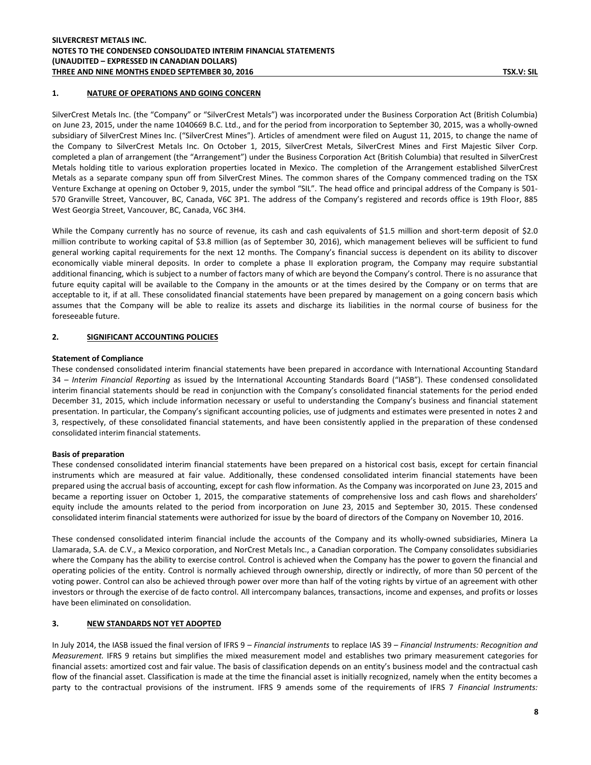### **1. NATURE OF OPERATIONS AND GOING CONCERN**

SilverCrest Metals Inc. (the "Company" or "SilverCrest Metals") was incorporated under the Business Corporation Act (British Columbia) on June 23, 2015, under the name 1040669 B.C. Ltd., and for the period from incorporation to September 30, 2015, was a wholly-owned subsidiary of SilverCrest Mines Inc. ("SilverCrest Mines"). Articles of amendment were filed on August 11, 2015, to change the name of the Company to SilverCrest Metals Inc. On October 1, 2015, SilverCrest Metals, SilverCrest Mines and First Majestic Silver Corp. completed a plan of arrangement (the "Arrangement") under the Business Corporation Act (British Columbia) that resulted in SilverCrest Metals holding title to various exploration properties located in Mexico. The completion of the Arrangement established SilverCrest Metals as a separate company spun off from SilverCrest Mines. The common shares of the Company commenced trading on the TSX Venture Exchange at opening on October 9, 2015, under the symbol "SIL". The head office and principal address of the Company is 501- 570 Granville Street, Vancouver, BC, Canada, V6C 3P1. The address of the Company's registered and records office is 19th Floor, 885 West Georgia Street, Vancouver, BC, Canada, V6C 3H4.

While the Company currently has no source of revenue, its cash and cash equivalents of \$1.5 million and short-term deposit of \$2.0 million contribute to working capital of \$3.8 million (as of September 30, 2016), which management believes will be sufficient to fund general working capital requirements for the next 12 months. The Company's financial success is dependent on its ability to discover economically viable mineral deposits. In order to complete a phase II exploration program, the Company may require substantial additional financing, which is subject to a number of factors many of which are beyond the Company's control. There is no assurance that future equity capital will be available to the Company in the amounts or at the times desired by the Company or on terms that are acceptable to it, if at all. These consolidated financial statements have been prepared by management on a going concern basis which assumes that the Company will be able to realize its assets and discharge its liabilities in the normal course of business for the foreseeable future.

#### **2. SIGNIFICANT ACCOUNTING POLICIES**

#### **Statement of Compliance**

These condensed consolidated interim financial statements have been prepared in accordance with International Accounting Standard 34 – *Interim Financial Reporting* as issued by the International Accounting Standards Board ("IASB"). These condensed consolidated interim financial statements should be read in conjunction with the Company's consolidated financial statements for the period ended December 31, 2015, which include information necessary or useful to understanding the Company's business and financial statement presentation. In particular, the Company's significant accounting policies, use of judgments and estimates were presented in notes 2 and 3, respectively, of these consolidated financial statements, and have been consistently applied in the preparation of these condensed consolidated interim financial statements.

#### **Basis of preparation**

These condensed consolidated interim financial statements have been prepared on a historical cost basis, except for certain financial instruments which are measured at fair value. Additionally, these condensed consolidated interim financial statements have been prepared using the accrual basis of accounting, except for cash flow information. As the Company was incorporated on June 23, 2015 and became a reporting issuer on October 1, 2015, the comparative statements of comprehensive loss and cash flows and shareholders' equity include the amounts related to the period from incorporation on June 23, 2015 and September 30, 2015. These condensed consolidated interim financial statements were authorized for issue by the board of directors of the Company on November 10, 2016.

These condensed consolidated interim financial include the accounts of the Company and its wholly-owned subsidiaries, Minera La Llamarada, S.A. de C.V., a Mexico corporation, and NorCrest Metals Inc., a Canadian corporation. The Company consolidates subsidiaries where the Company has the ability to exercise control. Control is achieved when the Company has the power to govern the financial and operating policies of the entity. Control is normally achieved through ownership, directly or indirectly, of more than 50 percent of the voting power. Control can also be achieved through power over more than half of the voting rights by virtue of an agreement with other investors or through the exercise of de facto control. All intercompany balances, transactions, income and expenses, and profits or losses have been eliminated on consolidation.

#### **3. NEW STANDARDS NOT YET ADOPTED**

In July 2014, the IASB issued the final version of IFRS 9 – *Financial instruments* to replace IAS 39 – *Financial Instruments: Recognition and Measurement.* IFRS 9 retains but simplifies the mixed measurement model and establishes two primary measurement categories for financial assets: amortized cost and fair value. The basis of classification depends on an entity's business model and the contractual cash flow of the financial asset. Classification is made at the time the financial asset is initially recognized, namely when the entity becomes a party to the contractual provisions of the instrument. IFRS 9 amends some of the requirements of IFRS 7 *Financial Instruments:*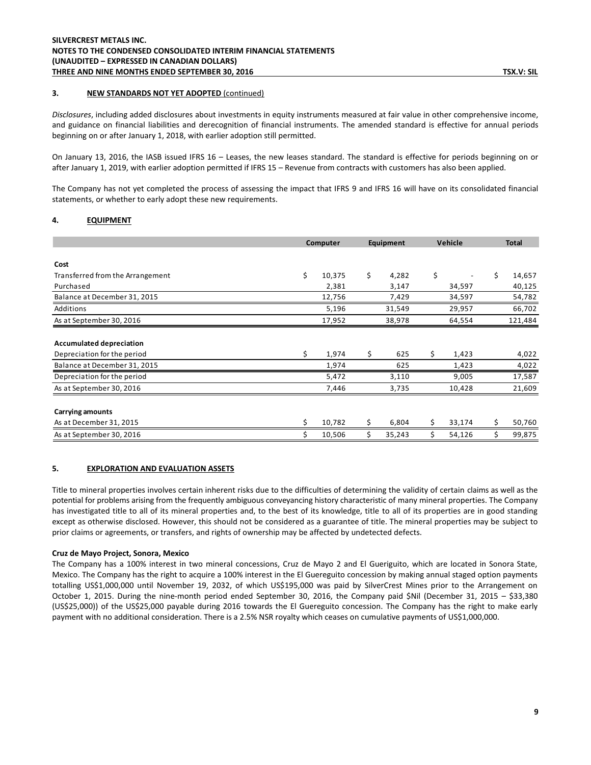### **3. NEW STANDARDS NOT YET ADOPTED** (continued)

*Disclosures*, including added disclosures about investments in equity instruments measured at fair value in other comprehensive income, and guidance on financial liabilities and derecognition of financial instruments. The amended standard is effective for annual periods beginning on or after January 1, 2018, with earlier adoption still permitted.

On January 13, 2016, the IASB issued IFRS 16 – Leases, the new leases standard. The standard is effective for periods beginning on or after January 1, 2019, with earlier adoption permitted if IFRS 15 – Revenue from contracts with customers has also been applied.

The Company has not yet completed the process of assessing the impact that IFRS 9 and IFRS 16 will have on its consolidated financial statements, or whether to early adopt these new requirements.

### **4. EQUIPMENT**

|                                  | Computer     | Equipment    | Vehicle      | <b>Total</b> |
|----------------------------------|--------------|--------------|--------------|--------------|
|                                  |              |              |              |              |
| Cost                             |              |              |              |              |
| Transferred from the Arrangement | \$<br>10,375 | \$<br>4,282  | \$           | \$<br>14,657 |
| Purchased                        | 2,381        | 3,147        | 34,597       | 40,125       |
| Balance at December 31, 2015     | 12,756       | 7,429        | 34,597       | 54,782       |
| Additions                        | 5,196        | 31,549       | 29,957       | 66,702       |
| As at September 30, 2016         | 17,952       | 38,978       | 64,554       | 121,484      |
|                                  |              |              |              |              |
| <b>Accumulated depreciation</b>  |              |              |              |              |
| Depreciation for the period      | \$<br>1,974  | \$<br>625    | \$<br>1,423  | 4,022        |
| Balance at December 31, 2015     | 1,974        | 625          | 1,423        | 4,022        |
| Depreciation for the period      | 5,472        | 3,110        | 9,005        | 17,587       |
| As at September 30, 2016         | 7,446        | 3,735        | 10,428       | 21,609       |
| <b>Carrying amounts</b>          |              |              |              |              |
| As at December 31, 2015          | \$<br>10,782 | \$<br>6,804  | \$<br>33,174 | \$<br>50,760 |
| As at September 30, 2016         | 10,506       | \$<br>35,243 | \$<br>54,126 | \$<br>99,875 |

#### **5. EXPLORATION AND EVALUATION ASSETS**

Title to mineral properties involves certain inherent risks due to the difficulties of determining the validity of certain claims as well as the potential for problems arising from the frequently ambiguous conveyancing history characteristic of many mineral properties. The Company has investigated title to all of its mineral properties and, to the best of its knowledge, title to all of its properties are in good standing except as otherwise disclosed. However, this should not be considered as a guarantee of title. The mineral properties may be subject to prior claims or agreements, or transfers, and rights of ownership may be affected by undetected defects.

#### **Cruz de Mayo Project, Sonora, Mexico**

The Company has a 100% interest in two mineral concessions, Cruz de Mayo 2 and El Gueriguito, which are located in Sonora State, Mexico. The Company has the right to acquire a 100% interest in the El Guereguito concession by making annual staged option payments totalling US\$1,000,000 until November 19, 2032, of which US\$195,000 was paid by SilverCrest Mines prior to the Arrangement on October 1, 2015. During the nine-month period ended September 30, 2016, the Company paid \$Nil (December 31, 2015 – \$33,380 (US\$25,000)) of the US\$25,000 payable during 2016 towards the El Guereguito concession. The Company has the right to make early payment with no additional consideration. There is a 2.5% NSR royalty which ceases on cumulative payments of US\$1,000,000.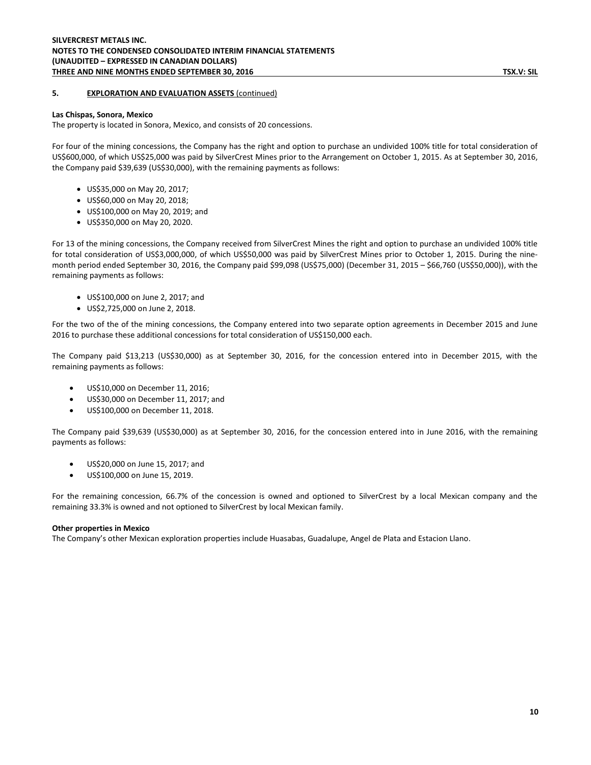### **5. EXPLORATION AND EVALUATION ASSETS** (continued)

#### **Las Chispas, Sonora, Mexico**

The property is located in Sonora, Mexico, and consists of 20 concessions.

For four of the mining concessions, the Company has the right and option to purchase an undivided 100% title for total consideration of US\$600,000, of which US\$25,000 was paid by SilverCrest Mines prior to the Arrangement on October 1, 2015. As at September 30, 2016, the Company paid \$39,639 (US\$30,000), with the remaining payments as follows:

- US\$35,000 on May 20, 2017;
- US\$60,000 on May 20, 2018;
- US\$100,000 on May 20, 2019; and
- US\$350,000 on May 20, 2020.

For 13 of the mining concessions, the Company received from SilverCrest Mines the right and option to purchase an undivided 100% title for total consideration of US\$3,000,000, of which US\$50,000 was paid by SilverCrest Mines prior to October 1, 2015. During the ninemonth period ended September 30, 2016, the Company paid \$99,098 (US\$75,000) (December 31, 2015 – \$66,760 (US\$50,000)), with the remaining payments as follows:

- US\$100,000 on June 2, 2017; and
- US\$2,725,000 on June 2, 2018.

For the two of the of the mining concessions, the Company entered into two separate option agreements in December 2015 and June 2016 to purchase these additional concessions for total consideration of US\$150,000 each.

The Company paid \$13,213 (US\$30,000) as at September 30, 2016, for the concession entered into in December 2015, with the remaining payments as follows:

- US\$10,000 on December 11, 2016;
- US\$30,000 on December 11, 2017; and
- US\$100,000 on December 11, 2018.

The Company paid \$39,639 (US\$30,000) as at September 30, 2016, for the concession entered into in June 2016, with the remaining payments as follows:

- US\$20,000 on June 15, 2017; and
- US\$100,000 on June 15, 2019.

For the remaining concession, 66.7% of the concession is owned and optioned to SilverCrest by a local Mexican company and the remaining 33.3% is owned and not optioned to SilverCrest by local Mexican family.

#### **Other properties in Mexico**

The Company's other Mexican exploration properties include Huasabas, Guadalupe, Angel de Plata and Estacion Llano.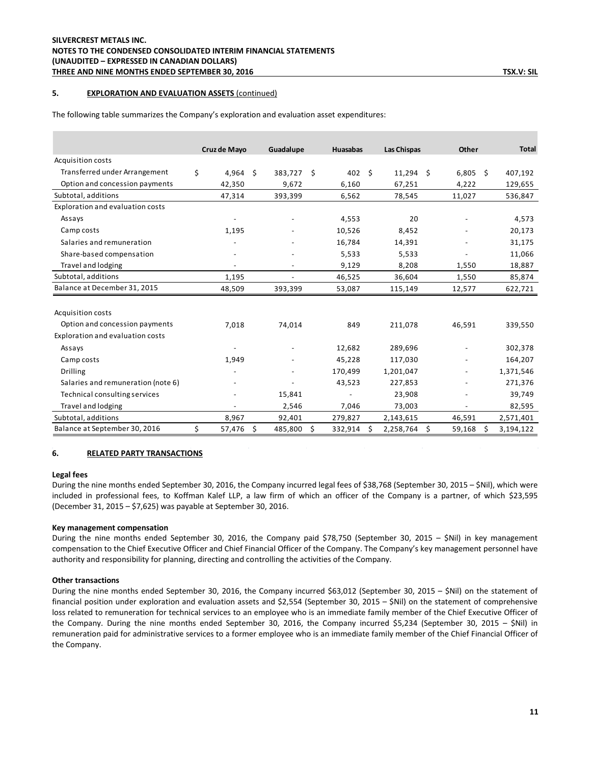### **5. EXPLORATION AND EVALUATION ASSETS** (continued)

|                                    | Cruz de Mayo             |    | Guadalupe                |    | Huasabas | <b>Las Chispas</b> | Other        | <b>Total</b>    |
|------------------------------------|--------------------------|----|--------------------------|----|----------|--------------------|--------------|-----------------|
| Acquisition costs                  |                          |    |                          |    |          |                    |              |                 |
| Transferred under Arrangement      | \$<br>4,964              | Ŝ. | 383,727 \$               |    | 402      | \$<br>$11,294$ \$  | $6,805$ \$   | 407,192         |
| Option and concession payments     | 42,350                   |    | 9,672                    |    | 6,160    | 67,251             | 4,222        | 129,655         |
| Subtotal, additions                | 47,314                   |    | 393,399                  |    | 6,562    | 78,545             | 11,027       | 536,847         |
| Exploration and evaluation costs   |                          |    |                          |    |          |                    |              |                 |
| Assays                             |                          |    |                          |    | 4,553    | 20                 |              | 4,573           |
| Camp costs                         | 1,195                    |    |                          |    | 10,526   | 8,452              |              | 20,173          |
| Salaries and remuneration          |                          |    |                          |    | 16,784   | 14,391             |              | 31,175          |
| Share-based compensation           |                          |    |                          |    | 5,533    | 5,533              |              | 11,066          |
| Travel and lodging                 | $\overline{\phantom{a}}$ |    | $\overline{\phantom{a}}$ |    | 9,129    | 8,208              | 1,550        | 18,887          |
| Subtotal, additions                | 1,195                    |    | $\overline{\phantom{a}}$ |    | 46,525   | 36,604             | 1,550        | 85,874          |
| Balance at December 31, 2015       | 48,509                   |    | 393,399                  |    | 53,087   | 115,149            | 12,577       | 622,721         |
| Acquisition costs                  |                          |    |                          |    |          |                    |              |                 |
| Option and concession payments     | 7,018                    |    | 74,014                   |    | 849      | 211,078            | 46,591       | 339,550         |
| Exploration and evaluation costs   |                          |    |                          |    |          |                    |              |                 |
| Assays                             |                          |    |                          |    | 12,682   | 289,696            |              | 302,378         |
| Camp costs                         | 1,949                    |    |                          |    | 45,228   | 117,030            |              | 164,207         |
| <b>Drilling</b>                    |                          |    |                          |    | 170,499  | 1,201,047          |              | 1,371,546       |
| Salaries and remuneration (note 6) |                          |    |                          |    | 43,523   | 227,853            |              | 271,376         |
| Technical consulting services      |                          |    | 15,841                   |    |          | 23,908             |              | 39,749          |
| Travel and lodging                 |                          |    | 2,546                    |    | 7,046    | 73,003             |              | 82,595          |
| Subtotal, additions                | 8,967                    |    | 92,401                   |    | 279,827  | 2,143,615          | 46,591       | 2,571,401       |
| Balance at September 30, 2016      | \$<br>57,476             | \$ | 485,800                  | Ś. | 332,914  | \$<br>2,258,764    | \$<br>59,168 | \$<br>3,194,122 |

The following table summarizes the Company's exploration and evaluation asset expenditures:

#### **6. RELATED PARTY TRANSACTIONS**

### **Legal fees**

During the nine months ended September 30, 2016, the Company incurred legal fees of \$38,768 (September 30, 2015 – \$Nil), which were included in professional fees, to Koffman Kalef LLP, a law firm of which an officer of the Company is a partner, of which \$23,595 (December 31, 2015 – \$7,625) was payable at September 30, 2016.

#### **Key management compensation**

During the nine months ended September 30, 2016, the Company paid \$78,750 (September 30, 2015 – \$Nil) in key management compensation to the Chief Executive Officer and Chief Financial Officer of the Company. The Company's key management personnel have authority and responsibility for planning, directing and controlling the activities of the Company.

#### **Other transactions**

During the nine months ended September 30, 2016, the Company incurred \$63,012 (September 30, 2015 – \$Nil) on the statement of financial position under exploration and evaluation assets and \$2,554 (September 30, 2015 – \$Nil) on the statement of comprehensive loss related to remuneration for technical services to an employee who is an immediate family member of the Chief Executive Officer of the Company. During the nine months ended September 30, 2016, the Company incurred \$5,234 (September 30, 2015 – \$Nil) in remuneration paid for administrative services to a former employee who is an immediate family member of the Chief Financial Officer of the Company.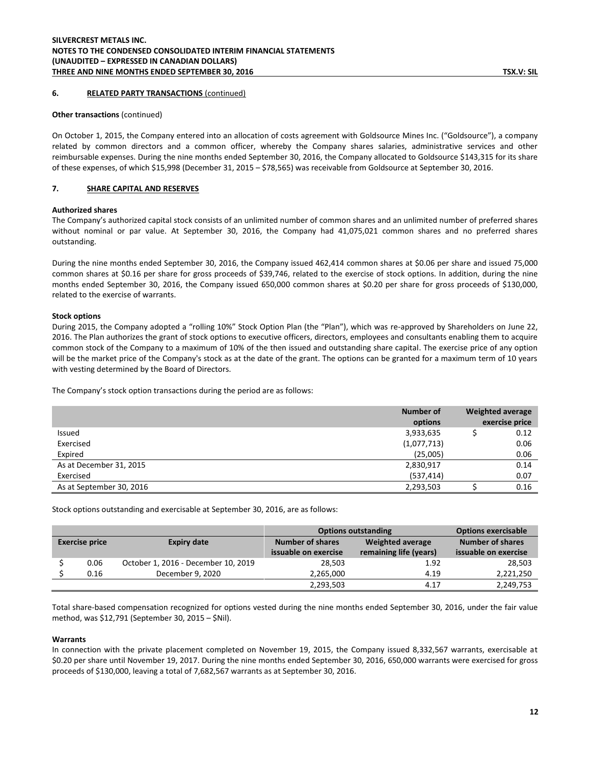### **6. RELATED PARTY TRANSACTIONS** (continued)

#### **Other transactions** (continued)

On October 1, 2015, the Company entered into an allocation of costs agreement with Goldsource Mines Inc. ("Goldsource"), a company related by common directors and a common officer, whereby the Company shares salaries, administrative services and other reimbursable expenses. During the nine months ended September 30, 2016, the Company allocated to Goldsource \$143,315 for its share of these expenses, of which \$15,998 (December 31, 2015 – \$78,565) was receivable from Goldsource at September 30, 2016.

#### **7. SHARE CAPITAL AND RESERVES**

#### **Authorized shares**

The Company's authorized capital stock consists of an unlimited number of common shares and an unlimited number of preferred shares without nominal or par value. At September 30, 2016, the Company had 41,075,021 common shares and no preferred shares outstanding.

During the nine months ended September 30, 2016, the Company issued 462,414 common shares at \$0.06 per share and issued 75,000 common shares at \$0.16 per share for gross proceeds of \$39,746, related to the exercise of stock options. In addition, during the nine months ended September 30, 2016, the Company issued 650,000 common shares at \$0.20 per share for gross proceeds of \$130,000, related to the exercise of warrants.

#### **Stock options**

During 2015, the Company adopted a "rolling 10%" Stock Option Plan (the "Plan"), which was re-approved by Shareholders on June 22, 2016. The Plan authorizes the grant of stock options to executive officers, directors, employees and consultants enabling them to acquire common stock of the Company to a maximum of 10% of the then issued and outstanding share capital. The exercise price of any option will be the market price of the Company's stock as at the date of the grant. The options can be granted for a maximum term of 10 years with vesting determined by the Board of Directors.

The Company's stock option transactions during the period are as follows:

|                          | Number of   | <b>Weighted average</b> |
|--------------------------|-------------|-------------------------|
|                          | options     | exercise price          |
| Issued                   | 3,933,635   | 0.12                    |
| Exercised                | (1,077,713) | 0.06                    |
| Expired                  | (25,005)    | 0.06                    |
| As at December 31, 2015  | 2,830,917   | 0.14                    |
| Exercised                | (537, 414)  | 0.07                    |
| As at September 30, 2016 | 2,293,503   | 0.16                    |

Stock options outstanding and exercisable at September 30, 2016, are as follows:

|                                             |                                     | <b>Options outstanding</b> | <b>Options exercisable</b> |                         |
|---------------------------------------------|-------------------------------------|----------------------------|----------------------------|-------------------------|
| <b>Exercise price</b><br><b>Expiry date</b> |                                     | <b>Number of shares</b>    | <b>Weighted average</b>    | <b>Number of shares</b> |
|                                             |                                     | issuable on exercise       | remaining life (years)     | issuable on exercise    |
| 0.06                                        | October 1, 2016 - December 10, 2019 | 28,503                     | 1.92                       | 28,503                  |
| 0.16                                        | December 9, 2020                    | 2,265,000                  | 4.19                       | 2,221,250               |
|                                             |                                     | 2,293,503                  | 4.17                       | 2,249,753               |

Total share-based compensation recognized for options vested during the nine months ended September 30, 2016, under the fair value method, was \$12,791 (September 30, 2015 – \$Nil).

#### **Warrants**

In connection with the private placement completed on November 19, 2015, the Company issued 8,332,567 warrants, exercisable at \$0.20 per share until November 19, 2017. During the nine months ended September 30, 2016, 650,000 warrants were exercised for gross proceeds of \$130,000, leaving a total of 7,682,567 warrants as at September 30, 2016.